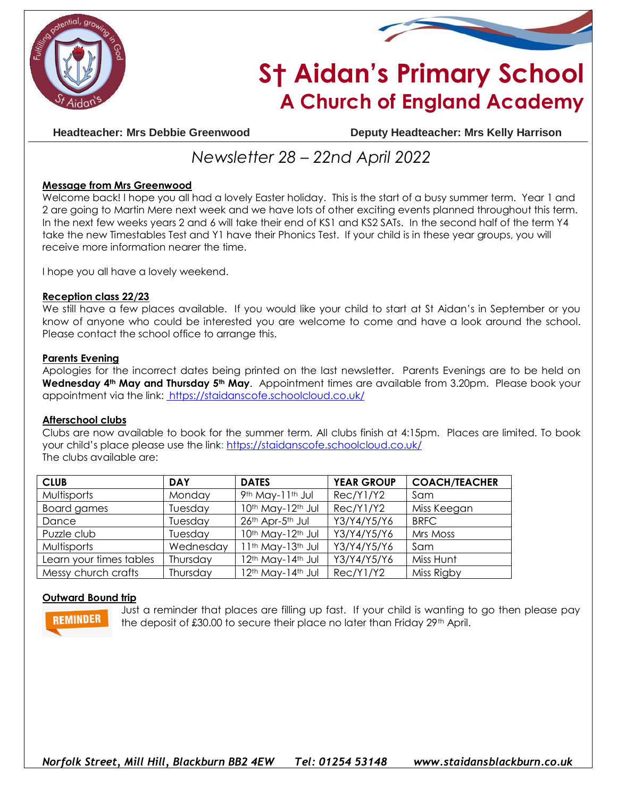



# **S† Aidan's Primary School A Church of England Academy**

**Headteacher: Mrs Debbie Greenwood Deputy Headteacher: Mrs Kelly Harrison**

## *Newsletter 28 – 22nd April 2022*

#### **Message from Mrs Greenwood**

Welcome back! I hope you all had a lovely Easter holiday. This is the start of a busy summer term. Year 1 and 2 are going to Martin Mere next week and we have lots of other exciting events planned throughout this term. In the next few weeks years 2 and 6 will take their end of KS1 and KS2 SATs. In the second half of the term Y4 take the new Timestables Test and Y1 have their Phonics Test. If your child is in these year groups, you will receive more information nearer the time.

I hope you all have a lovely weekend.

#### **Reception class 22/23**

We still have a few places available. If you would like your child to start at St Aidan's in September or you know of anyone who could be interested you are welcome to come and have a look around the school. Please contact the school office to arrange this.

#### **Parents Evening**

Apologies for the incorrect dates being printed on the last newsletter. Parents Evenings are to be held on **Wednesday 4th May and Thursday 5th May**. Appointment times are available from 3.20pm. Please book your appointment via the link: <https://staidanscofe.schoolcloud.co.uk/>

#### **Afterschool clubs**

Clubs are now available to book for the summer term. All clubs finish at 4:15pm. Places are limited. To book your child's place please use the link**:** <https://staidanscofe.schoolcloud.co.uk/> The clubs available are:

| <b>CLUB</b>             | <b>DAY</b> | <b>DATES</b>      | <b>YEAR GROUP</b> | <b>COACH/TEACHER</b> |
|-------------------------|------------|-------------------|-------------------|----------------------|
| Multisports             | Monday     | 9th May-11th Jul  | Rec/Y1/Y2         | Sam                  |
| Board games             | Tuesday    | 10th May-12th Jul | Rec/Y1/Y2         | Miss Keegan          |
| Dance                   | Tuesday    | 26th Apr-5th Jul  | Y3/Y4/Y5/Y6       | <b>BRFC</b>          |
| Puzzle club             | Tuesday    | 10th May-12th Jul | Y3/Y4/Y5/Y6       | Mrs Moss             |
| Multisports             | Wednesday  | 11th May-13th Jul | Y3/Y4/Y5/Y6       | Sam                  |
| Learn your times tables | Thursday   | 12th May-14th Jul | Y3/Y4/Y5/Y6       | Miss Hunt            |
| Messy church crafts     | Thursday   | 12th May-14th Jul | Rec/Y1/Y2         | Miss Rigby           |

#### **Outward Bound trip**



Just a reminder that places are filling up fast. If your child is wanting to go then please pay the deposit of £30.00 to secure their place no later than Friday 29th April.